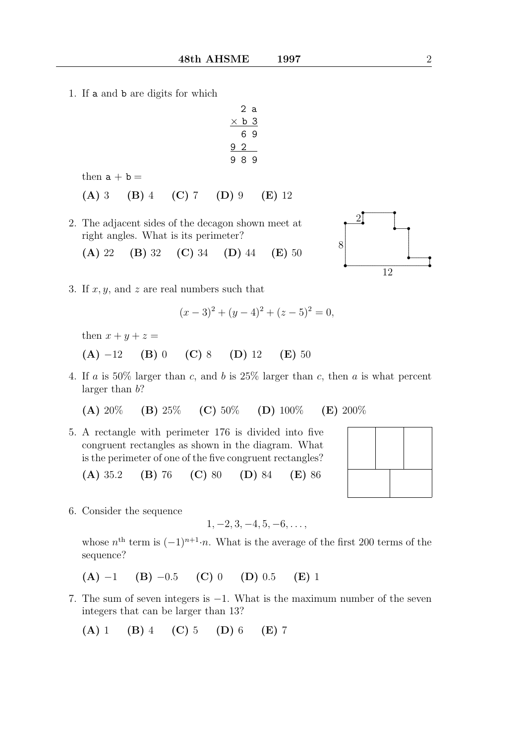1. If a and b are digits for which

$$
\begin{array}{@{}c@{\hspace{1em}}c@{\hspace{1em}}c@{\hspace{1em}}c@{\hspace{1em}}c@{\hspace{1em}}c@{\hspace{1em}}c@{\hspace{1em}}c@{\hspace{1em}}c@{\hspace{1em}}c@{\hspace{1em}}c@{\hspace{1em}}c@{\hspace{1em}}c@{\hspace{1em}}c@{\hspace{1em}}c@{\hspace{1em}}c@{\hspace{1em}}c@{\hspace{1em}}c@{\hspace{1em}}c@{\hspace{1em}}c@{\hspace{1em}}c@{\hspace{1em}}c@{\hspace{1em}}c@{\hspace{1em}}c@{\hspace{1em}}c@{\hspace{1em}}c@{\hspace{1em}}c@{\hspace{1em}}c@{\hspace{1em}}c@{\hspace{1em}}c@{\hspace{1em}}c@{\hspace{1em}}c@{\hspace{1em}}c@{\hspace{1em}}c@{\hspace{1em}}c@{\hspace{1em}}c@{\hspace{1em}}c@{\hspace{1em}}c@{\hspace{1em}}c@{\hspace{1em}}c@{\hspace{1em}}c@{\hspace{1em}}c@{\hspace{1em}}c@{\hspace{1em}}c@{\hspace{1em}}c@{\hspace{1em}}c@{\hspace{1em}}c@{\hspace{1em}}c@{\hspace{1em}}c@{\hspace{1em}}c@{\hspace{1em}}c@{\hspace{1em}}c@{\hspace{1em}}c@{\hspace{1em}}c@{\hspace{1em}}c@{\hspace{1em}}c@{\hspace{1em}}c@{\hspace{1em}}c@{\hspace{1em}}c@{\hspace{1em}}c@{\hspace{1em}}c@{\hspace{1em}}c@{\hspace{1em}}c@{\hspace{1em}}c@{\hspace{1em}}c@{\hspace{1em}}c@{\hspace{1em}}c@{\hspace{1em}}c@{\hspace{1em}}c@{\hspace{1em}}c@{\hspace{1em}}c@{\hspace{1em}}c@{\hspace{1em}}c@{\hspace{1em}}c@{\hspace{1em}}c@{\hspace{1em}}c@{\hspace{1em}}c@{\hspace{1em}}c@{\hspace{1em}}c@{\hspace{1em}}c@{\hspace{1em}}c@{\hspace{1em}}c@{\hspace{1em}}c@{\hspace{1em}}c@{\hspace{
$$

then  $a + b =$ 

$$
(A) 3 (B) 4 (C) 7 (D) 9 (E) 12
$$

- 2. The adjacent sides of the decagon shown meet at right angles. What is its perimeter?
	- (A) 22 (B) 32 (C) 34 (D) 44 (E) 50



3. If  $x, y$ , and z are real numbers such that

$$
(x-3)2 + (y-4)2 + (z-5)2 = 0,
$$

then  $x + y + z =$ 

- (A)  $-12$  (B) 0 (C) 8 (D) 12 (E) 50
- 4. If a is  $50\%$  larger than c, and b is  $25\%$  larger than c, then a is what percent larger than  $b$ ?

(A)  $20\%$  (B)  $25\%$  (C)  $50\%$  (D)  $100\%$  (E)  $200\%$ 

5. A rectangle with perimeter 176 is divided into five congruent rectangles as shown in the diagram. What is the perimeter of one of the five congruent rectangles?

(A) 35.2 (B) 76 (C) 80 (D) 84 (E) 86

6. Consider the sequence

$$
1, -2, 3, -4, 5, -6, \ldots,
$$

whose  $n^{\text{th}}$  term is  $(-1)^{n+1} \cdot n$ . What is the average of the first 200 terms of the sequence?

$$
(A) -1 (B) -0.5 (C) 0 (D) 0.5 (E) 1
$$

7. The sum of seven integers is −1. What is the maximum number of the seven integers that can be larger than 13?

$$
(A) 1 (B) 4 (C) 5 (D) 6 (E) 7
$$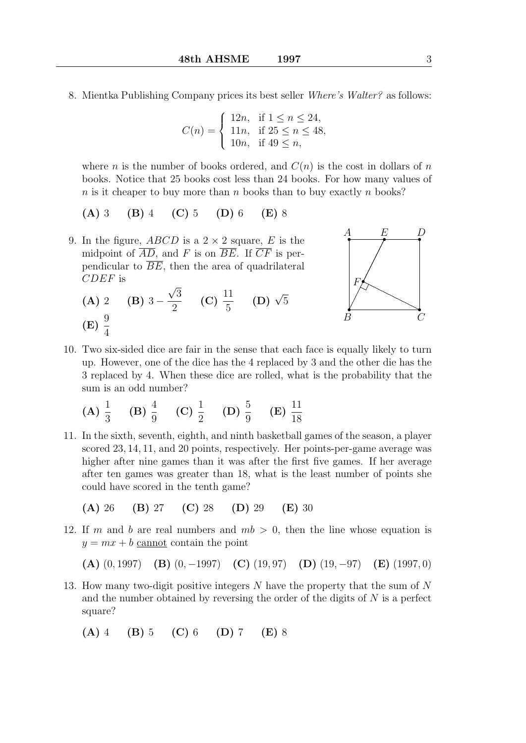8. Mientka Publishing Company prices its best seller Where's Walter? as follows:

$$
C(n) = \begin{cases} 12n, & \text{if } 1 \le n \le 24, \\ 11n, & \text{if } 25 \le n \le 48, \\ 10n, & \text{if } 49 \le n, \end{cases}
$$

where *n* is the number of books ordered, and  $C(n)$  is the cost in dollars of *n* books. Notice that 25 books cost less than 24 books. For how many values of  $n$  is it cheaper to buy more than n books than to buy exactly n books?

- (A) 3 (B) 4 (C) 5 (D) 6 (E) 8
- 9. In the figure,  $ABCD$  is a  $2 \times 2$  square, E is the midpoint of  $\overline{AD}$ , and F is on  $\overline{BE}$ . If  $\overline{CF}$  is perpendicular to  $\overline{BE}$ , then the area of quadrilateral CDEF is √
	- $(A) 2 \t (B) 3 -$ 3 2 (C)  $\frac{11}{5}$ 5 (D)  $\sqrt{5}$  $(E) \frac{9}{4}$ 4



10. Two six-sided dice are fair in the sense that each face is equally likely to turn up. However, one of the dice has the 4 replaced by 3 and the other die has the 3 replaced by 4. When these dice are rolled, what is the probability that the sum is an odd number?

(A) 
$$
\frac{1}{3}
$$
 (B)  $\frac{4}{9}$  (C)  $\frac{1}{2}$  (D)  $\frac{5}{9}$  (E)  $\frac{11}{18}$ 

- 11. In the sixth, seventh, eighth, and ninth basketball games of the season, a player scored 23, 14, 11, and 20 points, respectively. Her points-per-game average was higher after nine games than it was after the first five games. If her average after ten games was greater than 18, what is the least number of points she could have scored in the tenth game?
	- (A) 26 (B) 27 (C) 28 (D) 29 (E) 30
- 12. If m and b are real numbers and  $mb > 0$ , then the line whose equation is  $y = mx + b$  cannot contain the point

(A)  $(0, 1997)$  (B)  $(0, -1997)$  (C)  $(19, 97)$  (D)  $(19, -97)$  (E)  $(1997, 0)$ 

13. How many two-digit positive integers N have the property that the sum of N and the number obtained by reversing the order of the digits of N is a perfect square?

(A) 4 (B) 5 (C) 6 (D) 7 (E) 8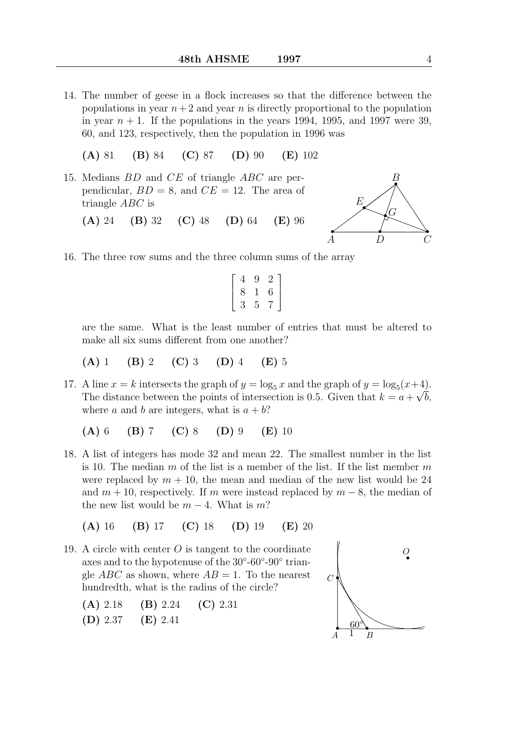- 14. The number of geese in a flock increases so that the difference between the populations in year  $n+2$  and year n is directly proportional to the population in year  $n + 1$ . If the populations in the years 1994, 1995, and 1997 were 39. 60, and 123, respectively, then the population in 1996 was
	- (A) 81 (B) 84 (C) 87 (D) 90 (E) 102
- 15. Medians BD and CE of triangle ABC are perpendicular,  $BD = 8$ , and  $CE = 12$ . The area of triangle ABC is (A) 24 (B) 32 (C) 48 (D) 64 (E) 96



16. The three row sums and the three column sums of the array

$$
\left[\begin{array}{ccc}4&9&2\\8&1&6\\3&5&7\end{array}\right]
$$

are the same. What is the least number of entries that must be altered to make all six sums different from one another?

(A) 1 (B) 2 (C) 3 (D) 4 (E) 5

17. A line  $x = k$  intersects the graph of  $y = \log_5 x$  and the graph of  $y = \log_5(x+4)$ . The distance between the points of intersection is 0.5. Given that  $k = a + \sqrt{b}$ , where a and b are integers, what is  $a + b$ ?

(A) 6 (B) 7 (C) 8 (D) 9 (E) 10

18. A list of integers has mode 32 and mean 22. The smallest number in the list is 10. The median  $m$  of the list is a member of the list. If the list member  $m$ were replaced by  $m + 10$ , the mean and median of the new list would be 24 and  $m + 10$ , respectively. If m were instead replaced by  $m - 8$ , the median of the new list would be  $m-4$ . What is m?

(A) 16 (B) 17 (C) 18 (D) 19 (E) 20

- 19. A circle with center  $O$  is tangent to the coordinate axes and to the hypotenuse of the  $30^{\circ}$ - $60^{\circ}$ - $90^{\circ}$  triangle ABC as shown, where  $AB = 1$ . To the nearest hundredth, what is the radius of the circle?
	- (A) 2.18 (B) 2.24 (C) 2.31
	- (D) 2.37 (E) 2.41

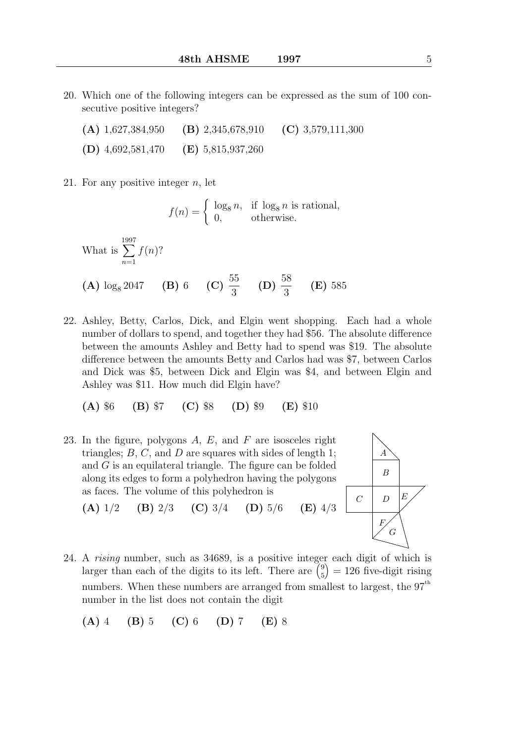- 20. Which one of the following integers can be expressed as the sum of 100 consecutive positive integers?
	- (A) 1,627,384,950 (B) 2,345,678,910 (C) 3,579,111,300
	- (D) 4,692,581,470 (E) 5,815,937,260

21. For any positive integer  $n$ , let

$$
f(n) = \begin{cases} \log_8 n, & \text{if } \log_8 n \text{ is rational,} \\ 0, & \text{otherwise.} \end{cases}
$$

What is 
$$
\sum_{n=1}^{1997} f(n)
$$
?  
\n**(A)**  $\log_8 2047$  **(B)** 6 **(C)**  $\frac{55}{3}$  **(D)**  $\frac{58}{3}$  **(E)** 585

22. Ashley, Betty, Carlos, Dick, and Elgin went shopping. Each had a whole number of dollars to spend, and together they had \$56. The absolute difference between the amounts Ashley and Betty had to spend was \$19. The absolute difference between the amounts Betty and Carlos had was \$7, between Carlos and Dick was \$5, between Dick and Elgin was \$4, and between Elgin and Ashley was \$11. How much did Elgin have?

(A) \$6 (B) \$7 (C) \$8 (D) \$9 (E) \$10

23. In the figure, polygons  $A, E$ , and  $F$  are isosceles right triangles;  $B, C$ , and  $D$  are squares with sides of length 1; and G is an equilateral triangle. The figure can be folded along its edges to form a polyhedron having the polygons as faces. The volume of this polyhedron is



- (A)  $1/2$  (B)  $2/3$  (C)  $3/4$  (D)  $5/6$  (E)  $4/3$
- 24. A rising number, such as 34689, is a positive integer each digit of which is larger than each of the digits to its left. There are  $\binom{9}{5}$ 5  $= 126$  five-digit rising numbers. When these numbers are arranged from smallest to largest, the  $97<sup>th</sup>$ number in the list does not contain the digit
	- (A) 4 (B) 5 (C) 6 (D) 7 (E) 8